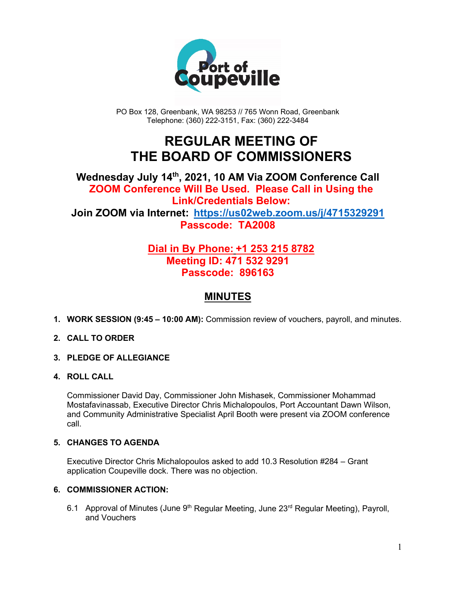

PO Box 128, Greenbank, WA 98253 // 765 Wonn Road, Greenbank Telephone: (360) 222-3151, Fax: (360) 222-3484

## **REGULAR MEETING OF THE BOARD OF COMMISSIONERS**

## **Wednesday July 14th, 2021, 10 AM Via ZOOM Conference Call ZOOM Conference Will Be Used. Please Call in Using the Link/Credentials Below: Join ZOOM via Internet: <https://us02web.zoom.us/j/4715329291> Passcode: TA2008**

## **Dial in By Phone: +1 253 215 8782 Meeting ID: 471 532 9291 Passcode: 896163**

## **MINUTES**

**1. WORK SESSION (9:45 – 10:00 AM):** Commission review of vouchers, payroll, and minutes.

#### **2. CALL TO ORDER**

- **3. PLEDGE OF ALLEGIANCE**
- **4. ROLL CALL**

Commissioner David Day, Commissioner John Mishasek, Commissioner Mohammad Mostafavinassab, Executive Director Chris Michalopoulos, Port Accountant Dawn Wilson, and Community Administrative Specialist April Booth were present via ZOOM conference call.

#### **5. CHANGES TO AGENDA**

Executive Director Chris Michalopoulos asked to add 10.3 Resolution #284 – Grant application Coupeville dock. There was no objection.

#### **6. COMMISSIONER ACTION:**

6.1 Approval of Minutes (June  $9<sup>th</sup>$  Regular Meeting, June 23<sup>rd</sup> Regular Meeting), Payroll, and Vouchers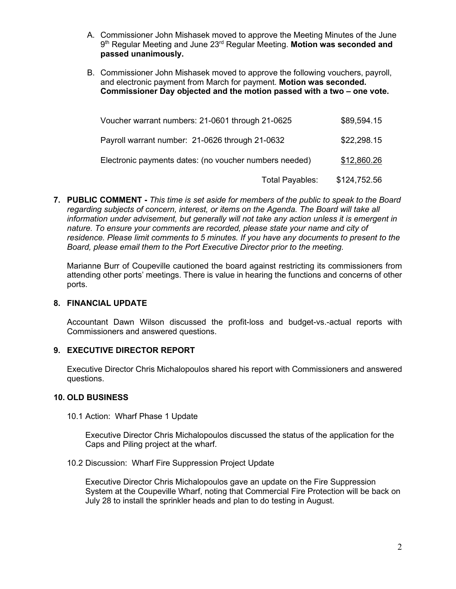- A. Commissioner John Mishasek moved to approve the Meeting Minutes of the June 9th Regular Meeting and June 23rd Regular Meeting. **Motion was seconded and passed unanimously.**
- B. Commissioner John Mishasek moved to approve the following vouchers, payroll, and electronic payment from March for payment. **Motion was seconded. Commissioner Day objected and the motion passed with a two – one vote.**

| Voucher warrant numbers: 21-0601 through 21-0625       | \$89,594.15  |
|--------------------------------------------------------|--------------|
| Payroll warrant number: 21-0626 through 21-0632        | \$22,298.15  |
| Electronic payments dates: (no voucher numbers needed) | \$12,860.26  |
| Total Payables:                                        | \$124,752.56 |

**7. PUBLIC COMMENT -** *This time is set aside for members of the public to speak to the Board regarding subjects of concern, interest, or items on the Agenda. The Board will take all information under advisement, but generally will not take any action unless it is emergent in nature. To ensure your comments are recorded, please state your name and city of residence. Please limit comments to 5 minutes. If you have any documents to present to the Board, please email them to the Port Executive Director prior to the meeting.*

Marianne Burr of Coupeville cautioned the board against restricting its commissioners from attending other ports' meetings. There is value in hearing the functions and concerns of other ports.

#### **8. FINANCIAL UPDATE**

Accountant Dawn Wilson discussed the profit-loss and budget-vs.-actual reports with Commissioners and answered questions.

#### **9. EXECUTIVE DIRECTOR REPORT**

Executive Director Chris Michalopoulos shared his report with Commissioners and answered questions.

#### **10. OLD BUSINESS**

10.1 Action: Wharf Phase 1 Update

Executive Director Chris Michalopoulos discussed the status of the application for the Caps and Piling project at the wharf.

10.2 Discussion: Wharf Fire Suppression Project Update

Executive Director Chris Michalopoulos gave an update on the Fire Suppression System at the Coupeville Wharf, noting that Commercial Fire Protection will be back on July 28 to install the sprinkler heads and plan to do testing in August.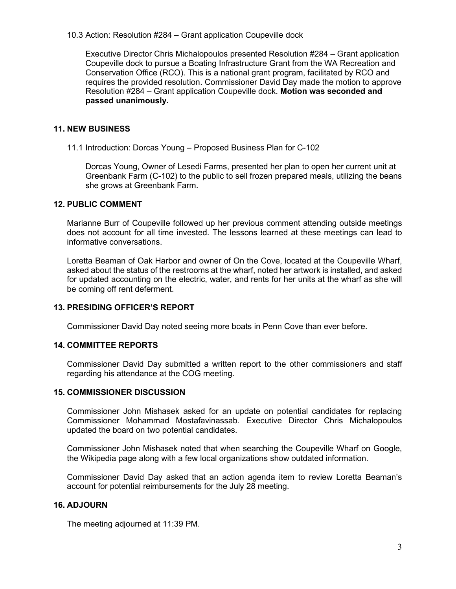10.3 Action: Resolution #284 – Grant application Coupeville dock

Executive Director Chris Michalopoulos presented Resolution #284 – Grant application Coupeville dock to pursue a Boating Infrastructure Grant from the WA Recreation and Conservation Office (RCO). This is a national grant program, facilitated by RCO and requires the provided resolution. Commissioner David Day made the motion to approve Resolution #284 – Grant application Coupeville dock. **Motion was seconded and passed unanimously.**

#### **11. NEW BUSINESS**

11.1 Introduction: Dorcas Young – Proposed Business Plan for C-102

Dorcas Young, Owner of Lesedi Farms, presented her plan to open her current unit at Greenbank Farm (C-102) to the public to sell frozen prepared meals, utilizing the beans she grows at Greenbank Farm.

#### **12. PUBLIC COMMENT**

Marianne Burr of Coupeville followed up her previous comment attending outside meetings does not account for all time invested. The lessons learned at these meetings can lead to informative conversations.

Loretta Beaman of Oak Harbor and owner of On the Cove, located at the Coupeville Wharf, asked about the status of the restrooms at the wharf, noted her artwork is installed, and asked for updated accounting on the electric, water, and rents for her units at the wharf as she will be coming off rent deferment.

#### **13. PRESIDING OFFICER'S REPORT**

Commissioner David Day noted seeing more boats in Penn Cove than ever before.

#### **14. COMMITTEE REPORTS**

Commissioner David Day submitted a written report to the other commissioners and staff regarding his attendance at the COG meeting.

#### **15. COMMISSIONER DISCUSSION**

Commissioner John Mishasek asked for an update on potential candidates for replacing Commissioner Mohammad Mostafavinassab. Executive Director Chris Michalopoulos updated the board on two potential candidates.

Commissioner John Mishasek noted that when searching the Coupeville Wharf on Google, the Wikipedia page along with a few local organizations show outdated information.

Commissioner David Day asked that an action agenda item to review Loretta Beaman's account for potential reimbursements for the July 28 meeting.

#### **16. ADJOURN**

The meeting adjourned at 11:39 PM.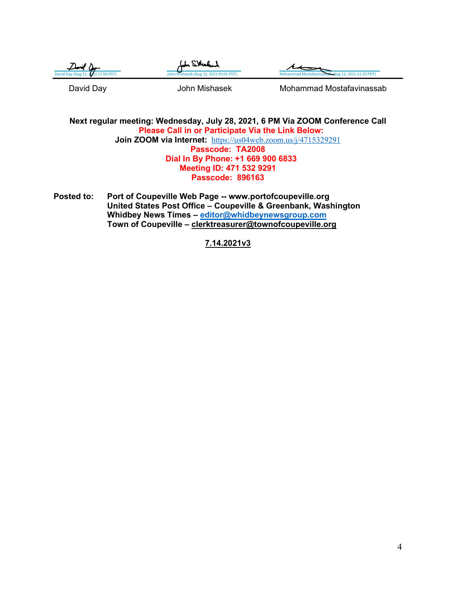| $\ell$ ) $\ell$ ) $\ell$           | John SMeabach                          |                                                   |
|------------------------------------|----------------------------------------|---------------------------------------------------|
| David Day (Aug 11, 2021 17:08 PDT) | John Mishasek (Aug 12, 2021 09:01 PDT) | Monammad Mostafavinassab (Aug 12, 2021 21:33 PDT) |
|                                    |                                        |                                                   |

David Day **Come Come State Mohammad Mostafavinassab** 

**Next regular meeting: Wednesday, July 28, 2021, 6 PM Via ZOOM Conference Call Please Call in or Participate Via the Link Below: Join ZOOM via Internet:** <https://us04web.zoom.us/j/4715329291> **Passcode: TA2008 Dial In By Phone: +1 669 900 6833 Meeting ID: 471 532 9291 Passcode: 896163**

**Posted to: Port of Coupeville Web Page -- www.portofcoupeville.org United States Post Office – Coupeville & Greenbank, Washington Whidbey News Times – [editor@whidbeynewsgroup.com](mailto:editor@whidbeynewsgroup.com) Town of Coupeville – [clerktreasurer@townofcoupeville.org](mailto:clerktreasurer@townofcoupeville.org)**

**7.14.2021v3**